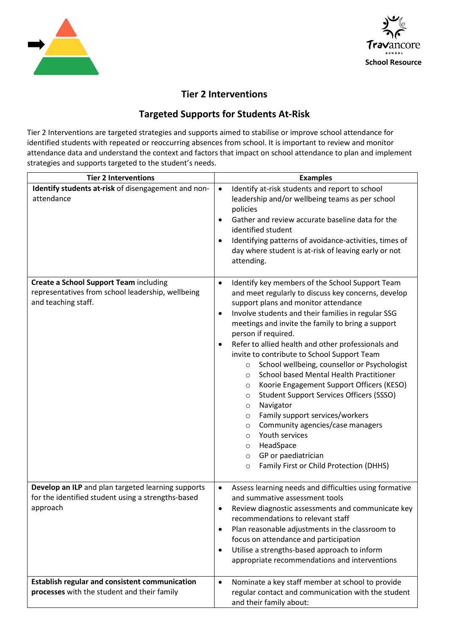



## **Tier 2 Interventions**

## **Targeted Supports for Students At-Risk**

Tier 2 Interventions are targeted strategies and supports aimed to stabilise or improve school attendance for identified students with repeated or reoccurring absences from school. It is important to review and monitor attendance data and understand the context and factors that impact on school attendance to plan and implement strategies and supports targeted to the student's needs.

| <b>Tier 2 Interventions</b>                                                                                               | <b>Examples</b>                                                                                                                                                                                                                                                                                                                                                                                                                                                                                                                                                                                                                                                                                                                                                                                                                                                                                                                 |
|---------------------------------------------------------------------------------------------------------------------------|---------------------------------------------------------------------------------------------------------------------------------------------------------------------------------------------------------------------------------------------------------------------------------------------------------------------------------------------------------------------------------------------------------------------------------------------------------------------------------------------------------------------------------------------------------------------------------------------------------------------------------------------------------------------------------------------------------------------------------------------------------------------------------------------------------------------------------------------------------------------------------------------------------------------------------|
| Identify students at-risk of disengagement and non-<br>attendance                                                         | Identify at-risk students and report to school<br>$\bullet$<br>leadership and/or wellbeing teams as per school<br>policies<br>Gather and review accurate baseline data for the<br>identified student<br>Identifying patterns of avoidance-activities, times of<br>$\bullet$<br>day where student is at-risk of leaving early or not<br>attending.                                                                                                                                                                                                                                                                                                                                                                                                                                                                                                                                                                               |
| <b>Create a School Support Team including</b><br>representatives from school leadership, wellbeing<br>and teaching staff. | Identify key members of the School Support Team<br>$\bullet$<br>and meet regularly to discuss key concerns, develop<br>support plans and monitor attendance<br>Involve students and their families in regular SSG<br>$\bullet$<br>meetings and invite the family to bring a support<br>person if required.<br>Refer to allied health and other professionals and<br>$\bullet$<br>invite to contribute to School Support Team<br>School wellbeing, counsellor or Psychologist<br>$\circ$<br>School based Mental Health Practitioner<br>$\circ$<br>Koorie Engagement Support Officers (KESO)<br>$\circ$<br><b>Student Support Services Officers (SSSO)</b><br>$\circ$<br>Navigator<br>$\circ$<br>Family support services/workers<br>$\circ$<br>Community agencies/case managers<br>$\circ$<br>Youth services<br>$\circ$<br>HeadSpace<br>O<br>GP or paediatrician<br>$\circ$<br>Family First or Child Protection (DHHS)<br>$\circ$ |
| Develop an ILP and plan targeted learning supports<br>for the identified student using a strengths-based<br>approach      | Assess learning needs and difficulties using formative<br>$\bullet$<br>and summative assessment tools<br>Review diagnostic assessments and communicate key<br>recommendations to relevant staff<br>Plan reasonable adjustments in the classroom to<br>$\bullet$<br>focus on attendance and participation<br>Utilise a strengths-based approach to inform<br>$\bullet$<br>appropriate recommendations and interventions                                                                                                                                                                                                                                                                                                                                                                                                                                                                                                          |
| <b>Establish regular and consistent communication</b><br>processes with the student and their family                      | Nominate a key staff member at school to provide<br>$\bullet$<br>regular contact and communication with the student<br>and their family about:                                                                                                                                                                                                                                                                                                                                                                                                                                                                                                                                                                                                                                                                                                                                                                                  |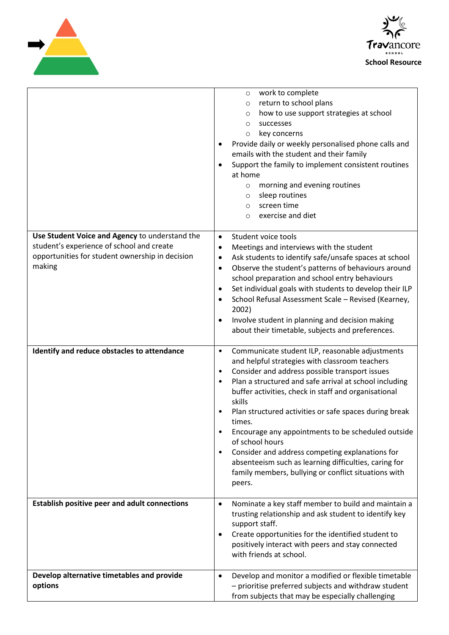



|                                                                                                                                                          | work to complete<br>$\circ$<br>return to school plans<br>$\circ$<br>how to use support strategies at school<br>$\circ$<br>successes<br>$\circ$<br>key concerns<br>$\circ$<br>Provide daily or weekly personalised phone calls and<br>emails with the student and their family<br>Support the family to implement consistent routines<br>$\bullet$<br>at home<br>morning and evening routines<br>$\circ$<br>sleep routines<br>$\circ$<br>screen time<br>$\circ$<br>exercise and diet<br>$\circ$                                                                                                                                                              |
|----------------------------------------------------------------------------------------------------------------------------------------------------------|-------------------------------------------------------------------------------------------------------------------------------------------------------------------------------------------------------------------------------------------------------------------------------------------------------------------------------------------------------------------------------------------------------------------------------------------------------------------------------------------------------------------------------------------------------------------------------------------------------------------------------------------------------------|
| Use Student Voice and Agency to understand the<br>student's experience of school and create<br>opportunities for student ownership in decision<br>making | Student voice tools<br>$\bullet$<br>Meetings and interviews with the student<br>$\bullet$<br>Ask students to identify safe/unsafe spaces at school<br>٠<br>Observe the student's patterns of behaviours around<br>٠<br>school preparation and school entry behaviours<br>Set individual goals with students to develop their ILP<br>٠<br>School Refusal Assessment Scale - Revised (Kearney,<br>$\bullet$<br>2002)<br>Involve student in planning and decision making<br>$\bullet$<br>about their timetable, subjects and preferences.                                                                                                                      |
| Identify and reduce obstacles to attendance                                                                                                              | Communicate student ILP, reasonable adjustments<br>$\bullet$<br>and helpful strategies with classroom teachers<br>Consider and address possible transport issues<br>٠<br>Plan a structured and safe arrival at school including<br>٠<br>buffer activities, check in staff and organisational<br>skills<br>Plan structured activities or safe spaces during break<br>times.<br>Encourage any appointments to be scheduled outside<br>$\bullet$<br>of school hours<br>Consider and address competing explanations for<br>$\bullet$<br>absenteeism such as learning difficulties, caring for<br>family members, bullying or conflict situations with<br>peers. |
| <b>Establish positive peer and adult connections</b>                                                                                                     | Nominate a key staff member to build and maintain a<br>$\bullet$<br>trusting relationship and ask student to identify key<br>support staff.<br>Create opportunities for the identified student to<br>٠<br>positively interact with peers and stay connected<br>with friends at school.                                                                                                                                                                                                                                                                                                                                                                      |
| Develop alternative timetables and provide<br>options                                                                                                    | Develop and monitor a modified or flexible timetable<br>$\bullet$<br>- prioritise preferred subjects and withdraw student<br>from subjects that may be especially challenging                                                                                                                                                                                                                                                                                                                                                                                                                                                                               |